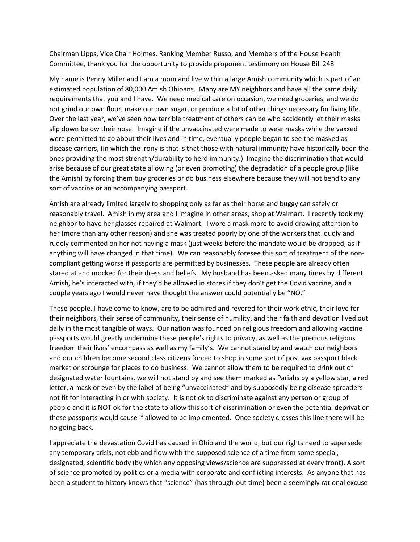Chairman Lipps, Vice Chair Holmes, Ranking Member Russo, and Members of the House Health Committee, thank you for the opportunity to provide proponent testimony on House Bill 248

My name is Penny Miller and I am a mom and live within a large Amish community which is part of an estimated population of 80,000 Amish Ohioans. Many are MY neighbors and have all the same daily requirements that you and I have. We need medical care on occasion, we need groceries, and we do not grind our own flour, make our own sugar, or produce a lot of other things necessary for living life. Over the last year, we've seen how terrible treatment of others can be who accidently let their masks slip down below their nose. Imagine if the unvaccinated were made to wear masks while the vaxxed were permitted to go about their lives and in time, eventually people began to see the masked as disease carriers, (in which the irony is that is that those with natural immunity have historically been the ones providing the most strength/durability to herd immunity.) Imagine the discrimination that would arise because of our great state allowing (or even promoting) the degradation of a people group (like the Amish) by forcing them buy groceries or do business elsewhere because they will not bend to any sort of vaccine or an accompanying passport.

Amish are already limited largely to shopping only as far as their horse and buggy can safely or reasonably travel. Amish in my area and I imagine in other areas, shop at Walmart. I recently took my neighbor to have her glasses repaired at Walmart. I wore a mask more to avoid drawing attention to her (more than any other reason) and she was treated poorly by one of the workers that loudly and rudely commented on her not having a mask (just weeks before the mandate would be dropped, as if anything will have changed in that time). We can reasonably foresee this sort of treatment of the noncompliant getting worse if passports are permitted by businesses. These people are already often stared at and mocked for their dress and beliefs. My husband has been asked many times by different Amish, he's interacted with, if they'd be allowed in stores if they don't get the Covid vaccine, and a couple years ago I would never have thought the answer could potentially be "NO."

These people, I have come to know, are to be admired and revered for their work ethic, their love for their neighbors, their sense of community, their sense of humility, and their faith and devotion lived out daily in the most tangible of ways. Our nation was founded on religious freedom and allowing vaccine passports would greatly undermine these people's rights to privacy, as well as the precious religious freedom their lives' encompass as well as my family's. We cannot stand by and watch our neighbors and our children become second class citizens forced to shop in some sort of post vax passport black market or scrounge for places to do business. We cannot allow them to be required to drink out of designated water fountains, we will not stand by and see them marked as Pariahs by a yellow star, a red letter, a mask or even by the label of being "unvaccinated" and by supposedly being disease spreaders not fit for interacting in or with society. It is not ok to discriminate against any person or group of people and it is NOT ok for the state to allow this sort of discrimination or even the potential deprivation these passports would cause if allowed to be implemented. Once society crosses this line there will be no going back.

I appreciate the devastation Covid has caused in Ohio and the world, but our rights need to supersede any temporary crisis, not ebb and flow with the supposed science of a time from some special, designated, scientific body (by which any opposing views/science are suppressed at every front). A sort of science promoted by politics or a media with corporate and conflicting interests. As anyone that has been a student to history knows that "science" (has through-out time) been a seemingly rational excuse